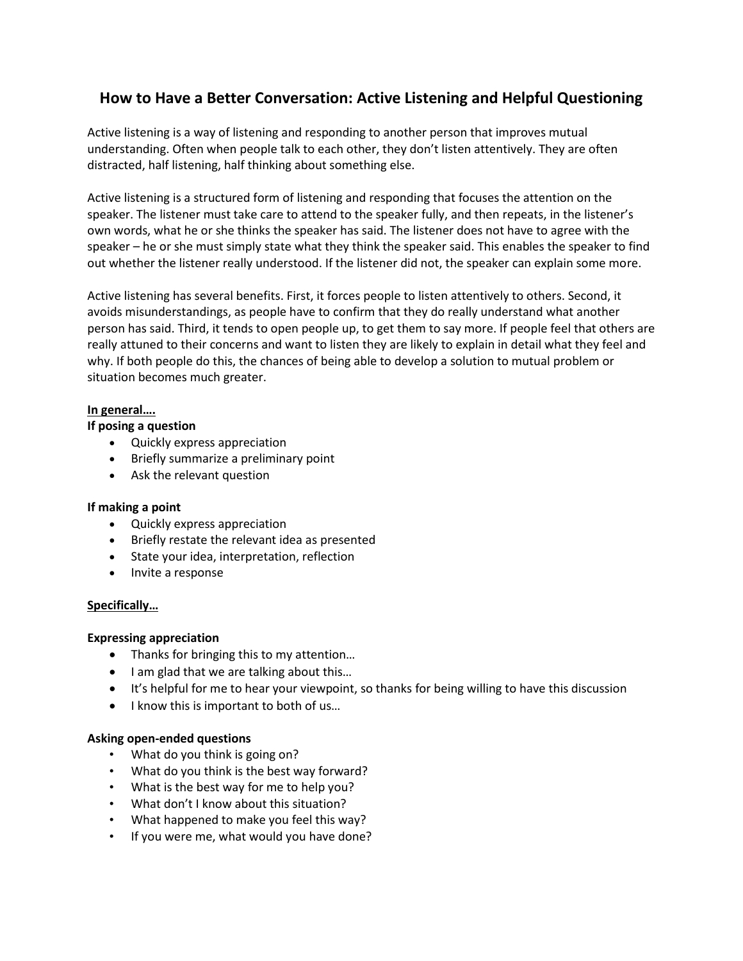# **How to Have a Better Conversation: Active Listening and Helpful Questioning**

Active listening is a way of listening and responding to another person that improves mutual understanding. Often when people talk to each other, they don't listen attentively. They are often distracted, half listening, half thinking about something else.

Active listening is a structured form of listening and responding that focuses the attention on the speaker. The listener must take care to attend to the speaker fully, and then repeats, in the listener's own words, what he or she thinks the speaker has said. The listener does not have to agree with the speaker – he or she must simply state what they think the speaker said. This enables the speaker to find out whether the listener really understood. If the listener did not, the speaker can explain some more.

Active listening has several benefits. First, it forces people to listen attentively to others. Second, it avoids misunderstandings, as people have to confirm that they do really understand what another person has said. Third, it tends to open people up, to get them to say more. If people feel that others are really attuned to their concerns and want to listen they are likely to explain in detail what they feel and why. If both people do this, the chances of being able to develop a solution to mutual problem or situation becomes much greater.

# **In general….**

# **If posing a question**

- Quickly express appreciation
- Briefly summarize a preliminary point
- Ask the relevant question

# **If making a point**

- Quickly express appreciation
- Briefly restate the relevant idea as presented
- State your idea, interpretation, reflection
- Invite a response

# **Specifically…**

# **Expressing appreciation**

- Thanks for bringing this to my attention...
- I am glad that we are talking about this...
- It's helpful for me to hear your viewpoint, so thanks for being willing to have this discussion
- I know this is important to both of us...

# **Asking open-ended questions**

- What do you think is going on?
- What do you think is the best way forward?
- What is the best way for me to help you?
- What don't I know about this situation?
- What happened to make you feel this way?
- If you were me, what would you have done?